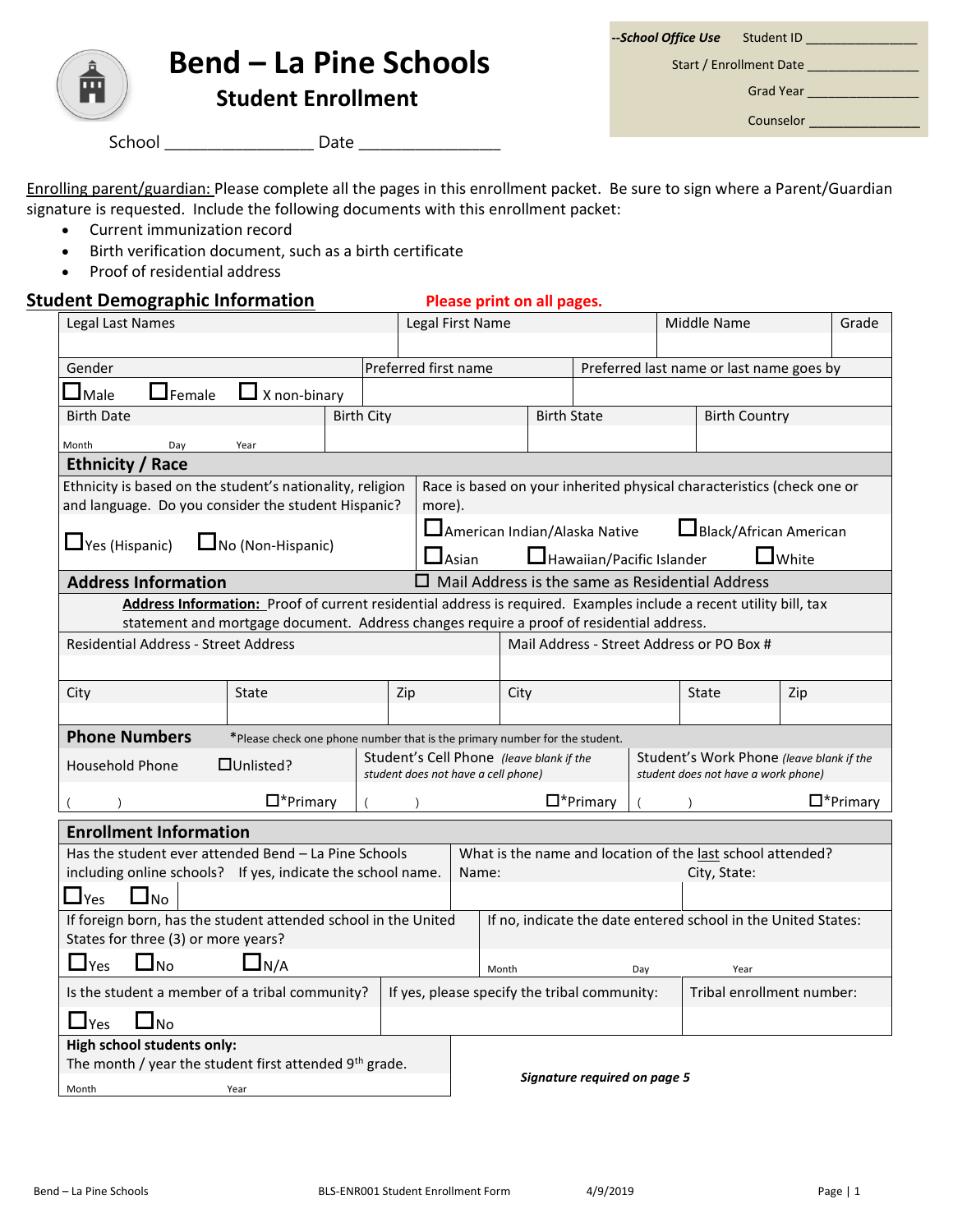| ш |  |
|---|--|
|   |  |
|   |  |

# **Bend – La Pine Schools Student Enrollment**

| <b>--School Office Use</b> Student ID |                         |  |
|---------------------------------------|-------------------------|--|
|                                       | Start / Enrollment Date |  |
|                                       | <b>Grad Year</b>        |  |
|                                       | Counselor               |  |

School \_\_\_\_\_\_\_\_\_\_\_\_\_\_\_\_\_\_\_\_\_ Date \_\_\_\_\_\_\_\_\_\_\_\_\_\_\_\_\_\_\_\_

Enrolling parent/guardian: Please complete all the pages in this enrollment packet. Be sure to sign where a Parent/Guardian signature is requested. Include the following documents with this enrollment packet:

- Current immunization record
- Birth verification document, such as a birth certificate
- Proof of residential address

#### **Student Demographic Information Please print on all pages.**

| Legal Last Names                                               |                                                                                                                    |                   |                                              | Legal First Name |       |                    |                               |     | <b>Middle Name</b>                                                     |                 | Grade           |
|----------------------------------------------------------------|--------------------------------------------------------------------------------------------------------------------|-------------------|----------------------------------------------|------------------|-------|--------------------|-------------------------------|-----|------------------------------------------------------------------------|-----------------|-----------------|
|                                                                |                                                                                                                    |                   |                                              |                  |       |                    |                               |     |                                                                        |                 |                 |
| Gender                                                         |                                                                                                                    |                   | Preferred first name                         |                  |       |                    |                               |     | Preferred last name or last name goes by                               |                 |                 |
| $\Box$ Male<br>$\mathsf{\mathsf{\underline{J}}}$ Female        | $\mathbf{\mathsf{\underline{J}}}$ X non-binary                                                                     |                   |                                              |                  |       |                    |                               |     |                                                                        |                 |                 |
| <b>Birth Date</b>                                              |                                                                                                                    | <b>Birth City</b> |                                              |                  |       | <b>Birth State</b> |                               |     | <b>Birth Country</b>                                                   |                 |                 |
| Month<br>Day                                                   | Year                                                                                                               |                   |                                              |                  |       |                    |                               |     |                                                                        |                 |                 |
| <b>Ethnicity / Race</b>                                        |                                                                                                                    |                   |                                              |                  |       |                    |                               |     |                                                                        |                 |                 |
| Ethnicity is based on the student's nationality, religion      |                                                                                                                    |                   |                                              |                  |       |                    |                               |     | Race is based on your inherited physical characteristics (check one or |                 |                 |
| and language. Do you consider the student Hispanic?            |                                                                                                                    |                   | more).                                       |                  |       |                    |                               |     |                                                                        |                 |                 |
|                                                                |                                                                                                                    |                   |                                              |                  |       |                    | American Indian/Alaska Native |     | Black/African American                                                 |                 |                 |
| $\Box$ Yes (Hispanic)                                          | $\Box$ No (Non-Hispanic)                                                                                           |                   |                                              | Asian            |       |                    | Hawaiian/Pacific Islander     |     |                                                                        | $\square$ White |                 |
| <b>Address Information</b>                                     |                                                                                                                    |                   |                                              |                  |       |                    |                               |     | $\Box$ Mail Address is the same as Residential Address                 |                 |                 |
|                                                                | Address Information: Proof of current residential address is required. Examples include a recent utility bill, tax |                   |                                              |                  |       |                    |                               |     |                                                                        |                 |                 |
|                                                                | statement and mortgage document. Address changes require a proof of residential address.                           |                   |                                              |                  |       |                    |                               |     |                                                                        |                 |                 |
| <b>Residential Address - Street Address</b>                    |                                                                                                                    |                   |                                              |                  |       |                    |                               |     | Mail Address - Street Address or PO Box #                              |                 |                 |
|                                                                |                                                                                                                    |                   |                                              |                  |       |                    |                               |     |                                                                        |                 |                 |
| City                                                           | State                                                                                                              |                   | Zip                                          |                  | City  |                    |                               |     | State                                                                  | Zip             |                 |
|                                                                |                                                                                                                    |                   |                                              |                  |       |                    |                               |     |                                                                        |                 |                 |
| <b>Phone Numbers</b>                                           | *Please check one phone number that is the primary number for the student.                                         |                   |                                              |                  |       |                    |                               |     |                                                                        |                 |                 |
| <b>Household Phone</b>                                         | $\Box$ Unlisted?                                                                                                   |                   | Student's Cell Phone (leave blank if the     |                  |       |                    |                               |     | Student's Work Phone (leave blank if the                               |                 |                 |
|                                                                |                                                                                                                    |                   | student does not have a cell phone)          |                  |       |                    |                               |     | student does not have a work phone)                                    |                 |                 |
|                                                                | $\Box$ *Primary                                                                                                    |                   |                                              |                  |       |                    | $\Box$ *Primary               |     |                                                                        |                 | $\Box$ *Primary |
| <b>Enrollment Information</b>                                  |                                                                                                                    |                   |                                              |                  |       |                    |                               |     |                                                                        |                 |                 |
| Has the student ever attended Bend - La Pine Schools           |                                                                                                                    |                   |                                              |                  |       |                    |                               |     | What is the name and location of the last school attended?             |                 |                 |
| including online schools? If yes, indicate the school name.    |                                                                                                                    |                   |                                              | Name:            |       |                    |                               |     | City, State:                                                           |                 |                 |
| $\square$ No<br>$\Box$ Yes                                     |                                                                                                                    |                   |                                              |                  |       |                    |                               |     |                                                                        |                 |                 |
| If foreign born, has the student attended school in the United |                                                                                                                    |                   |                                              |                  |       |                    |                               |     | If no, indicate the date entered school in the United States:          |                 |                 |
| States for three (3) or more years?                            |                                                                                                                    |                   |                                              |                  |       |                    |                               |     |                                                                        |                 |                 |
| $\mathbf{\mathsf{\underline{I}}}$ Yes<br><b>No</b>             | $\Box$ N/A                                                                                                         |                   |                                              |                  | Month |                    |                               | Day | Year                                                                   |                 |                 |
| Is the student a member of a tribal community?                 |                                                                                                                    |                   | If yes, please specify the tribal community: |                  |       |                    |                               |     | Tribal enrollment number:                                              |                 |                 |
| $\square$ No<br>$\Box$ Yes                                     |                                                                                                                    |                   |                                              |                  |       |                    |                               |     |                                                                        |                 |                 |
| High school students only:                                     |                                                                                                                    |                   |                                              |                  |       |                    |                               |     |                                                                        |                 |                 |
| The month / year the student first attended $9th$ grade.       |                                                                                                                    |                   |                                              |                  |       |                    |                               |     |                                                                        |                 |                 |
| Month                                                          | Year                                                                                                               |                   |                                              |                  |       |                    | Signature required on page 5  |     |                                                                        |                 |                 |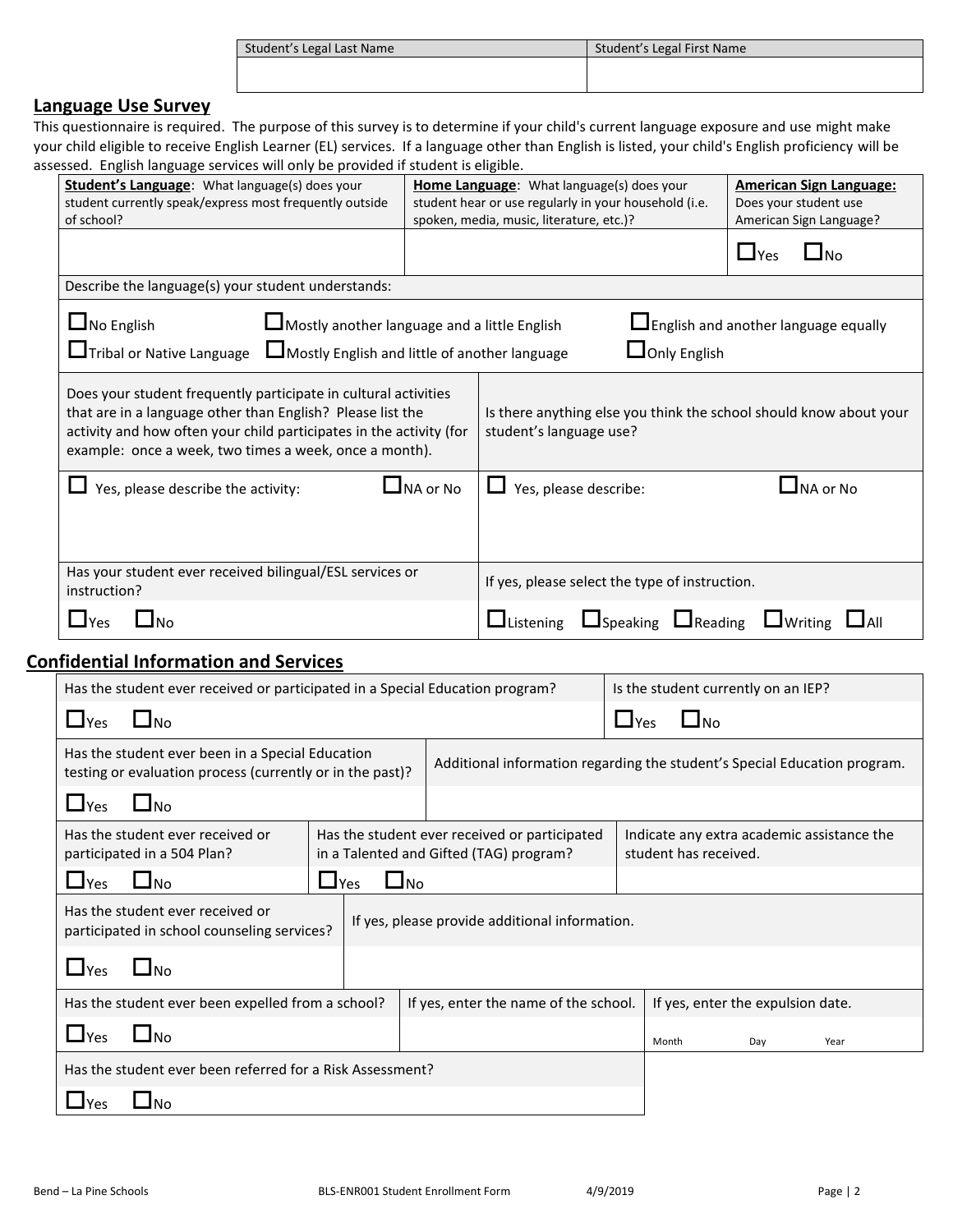| Student's Legal Last Name | Student's Legal First Name |
|---------------------------|----------------------------|
|                           |                            |

### **Language Use Survey**

This questionnaire is required. The purpose of this survey is to determine if your child's current language exposure and use might make your child eligible to receive English Learner (EL) services. If a language other than English is listed, your child's English proficiency will be assessed. English language services will only be provided if student is eligible.

| <b>Student's Language:</b> What language(s) does your                                                                                                                                                                                                          |                 | Home Language: What language(s) does your                                                     | <b>American Sign Language:</b>              |  |  |  |
|----------------------------------------------------------------------------------------------------------------------------------------------------------------------------------------------------------------------------------------------------------------|-----------------|-----------------------------------------------------------------------------------------------|---------------------------------------------|--|--|--|
| student currently speak/express most frequently outside                                                                                                                                                                                                        |                 | student hear or use regularly in your household (i.e.                                         | Does your student use                       |  |  |  |
| of school?                                                                                                                                                                                                                                                     |                 | spoken, media, music, literature, etc.)?                                                      | American Sign Language?                     |  |  |  |
|                                                                                                                                                                                                                                                                |                 |                                                                                               | ∩ו⊿                                         |  |  |  |
| Describe the language(s) your student understands:                                                                                                                                                                                                             |                 |                                                                                               |                                             |  |  |  |
| $\Box$ No English<br>$\Box$ Mostly another language and a little English<br><b>Let</b> Tribal or Native Language<br>Mostly English and little of another language                                                                                              |                 | $\Box$ Only English                                                                           | $\Box$ English and another language equally |  |  |  |
| Does your student frequently participate in cultural activities<br>that are in a language other than English? Please list the<br>activity and how often your child participates in the activity (for<br>example: once a week, two times a week, once a month). |                 | Is there anything else you think the school should know about your<br>student's language use? |                                             |  |  |  |
| Yes, please describe the activity:                                                                                                                                                                                                                             | $\Box$ NA or No | Yes, please describe:                                                                         | $\Box$ NA or No                             |  |  |  |
| Has your student ever received bilingual/ESL services or<br>instruction?                                                                                                                                                                                       |                 | If yes, please select the type of instruction.                                                |                                             |  |  |  |
| <b>IYes</b>                                                                                                                                                                                                                                                    |                 | $\Box$ Listening $\Box$ Speaking $\Box$ Reading $\Box$ Writing                                |                                             |  |  |  |

#### **Confidential Information and Services**

| Has the student ever received or participated in a Special Education program?                                 |                                                                  | Is the student currently on an IEP?                                                      |       |                                   |     |                                            |  |
|---------------------------------------------------------------------------------------------------------------|------------------------------------------------------------------|------------------------------------------------------------------------------------------|-------|-----------------------------------|-----|--------------------------------------------|--|
| $\Box$ No<br>$\Box$ Yes                                                                                       | $\mathsf{I}$ $\mathsf{I}$ $\mathsf{V}$ $\mathsf{P}$ $\mathsf{S}$ | $\square$ No                                                                             |       |                                   |     |                                            |  |
| Has the student ever been in a Special Education<br>testing or evaluation process (currently or in the past)? |                                                                  | Additional information regarding the student's Special Education program.                |       |                                   |     |                                            |  |
| $\Box$ Yes<br>$\bigsqcup$ No                                                                                  |                                                                  |                                                                                          |       |                                   |     |                                            |  |
| Has the student ever received or<br>participated in a 504 Plan?                                               |                                                                  | Has the student ever received or participated<br>in a Talented and Gifted (TAG) program? |       | student has received.             |     | Indicate any extra academic assistance the |  |
| $\sqcup$ Yes<br>$\Box$ No                                                                                     | LI No<br>$\sqcup$ Yes                                            |                                                                                          |       |                                   |     |                                            |  |
| Has the student ever received or<br>participated in school counseling services?                               |                                                                  | If yes, please provide additional information.                                           |       |                                   |     |                                            |  |
| $\Box$ Yes<br>$\Box$ No                                                                                       |                                                                  |                                                                                          |       |                                   |     |                                            |  |
| Has the student ever been expelled from a school?                                                             |                                                                  | If yes, enter the name of the school.                                                    |       | If yes, enter the expulsion date. |     |                                            |  |
| $\sqcup$ Yes<br>$\bigsqcup$ No                                                                                |                                                                  |                                                                                          | Month |                                   | Day | Year                                       |  |
| Has the student ever been referred for a Risk Assessment?                                                     |                                                                  |                                                                                          |       |                                   |     |                                            |  |
| <b>I</b> Yes<br>N٥                                                                                            |                                                                  |                                                                                          |       |                                   |     |                                            |  |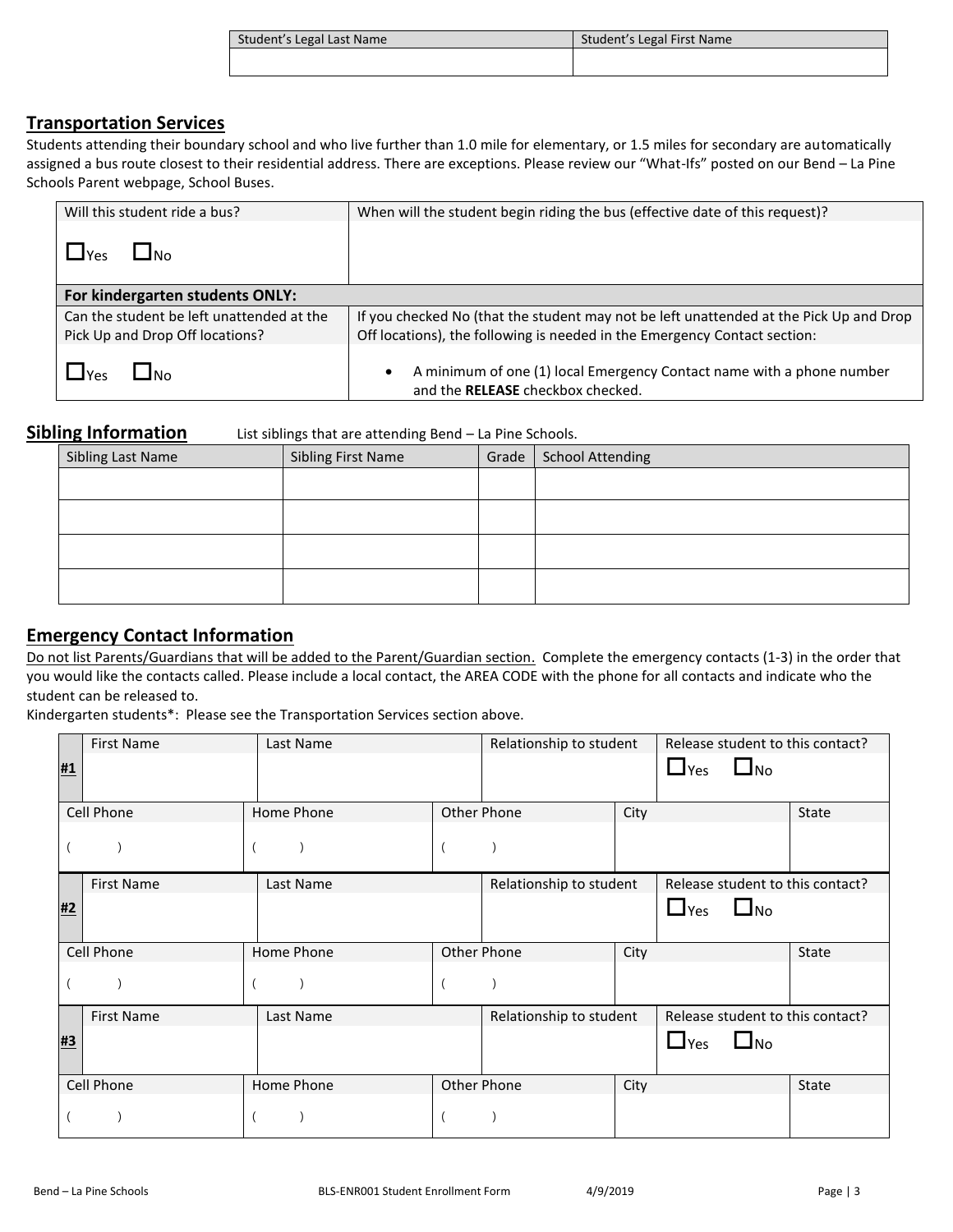| Student's Legal Last Name | Student's Legal First Name |
|---------------------------|----------------------------|
|                           |                            |

#### **Transportation Services**

Students attending their boundary school and who live further than 1.0 mile for elementary, or 1.5 miles for secondary are automatically assigned a bus route closest to their residential address. There are exceptions. Please review our "What-Ifs" posted on our Bend – La Pine Schools Parent webpage, School Buses.

| Will this student ride a bus?             | When will the student begin riding the bus (effective date of this request)?                                      |
|-------------------------------------------|-------------------------------------------------------------------------------------------------------------------|
| l Ino                                     |                                                                                                                   |
| For kindergarten students ONLY:           |                                                                                                                   |
| Can the student be left unattended at the | If you checked No (that the student may not be left unattended at the Pick Up and Drop                            |
| Pick Up and Drop Off locations?           | Off locations), the following is needed in the Emergency Contact section:                                         |
|                                           | A minimum of one (1) local Emergency Contact name with a phone number<br>and the <b>RELEASE</b> checkbox checked. |

#### **Sibling Information** List siblings that are attending Bend – La Pine Schools.

| Sibling Last Name | Sibling First Name | Grade   School Attending |
|-------------------|--------------------|--------------------------|
|                   |                    |                          |
|                   |                    |                          |
|                   |                    |                          |
|                   |                    |                          |
|                   |                    |                          |

#### **Emergency Contact Information**

Do not list Parents/Guardians that will be added to the Parent/Guardian section. Complete the emergency contacts (1-3) in the order that you would like the contacts called. Please include a local contact, the AREA CODE with the phone for all contacts and indicate who the student can be released to.

Kindergarten students\*: Please see the Transportation Services section above.

|    | <b>First Name</b> | Last Name  | Relationship to student |      |                  |                | Release student to this contact? |
|----|-------------------|------------|-------------------------|------|------------------|----------------|----------------------------------|
| #1 |                   |            |                         |      | $\Box$ Yes       | $\bigsqcup$ No |                                  |
|    | Cell Phone        | Home Phone | Other Phone             | City |                  |                | State                            |
|    |                   |            |                         |      |                  |                |                                  |
| #2 | <b>First Name</b> | Last Name  | Relationship to student |      | $\mathbf{L}$ Yes | $\Box$ No      | Release student to this contact? |
|    | Cell Phone        | Home Phone | Other Phone             | City |                  |                | State                            |
|    |                   |            |                         |      |                  |                |                                  |
|    | <b>First Name</b> | Last Name  | Relationship to student |      |                  |                | Release student to this contact? |
| #3 |                   |            |                         |      | $\sqcup$ Yes     | $\Box$ No      |                                  |
|    | Cell Phone        | Home Phone | <b>Other Phone</b>      | City |                  |                | State                            |
|    |                   |            |                         |      |                  |                |                                  |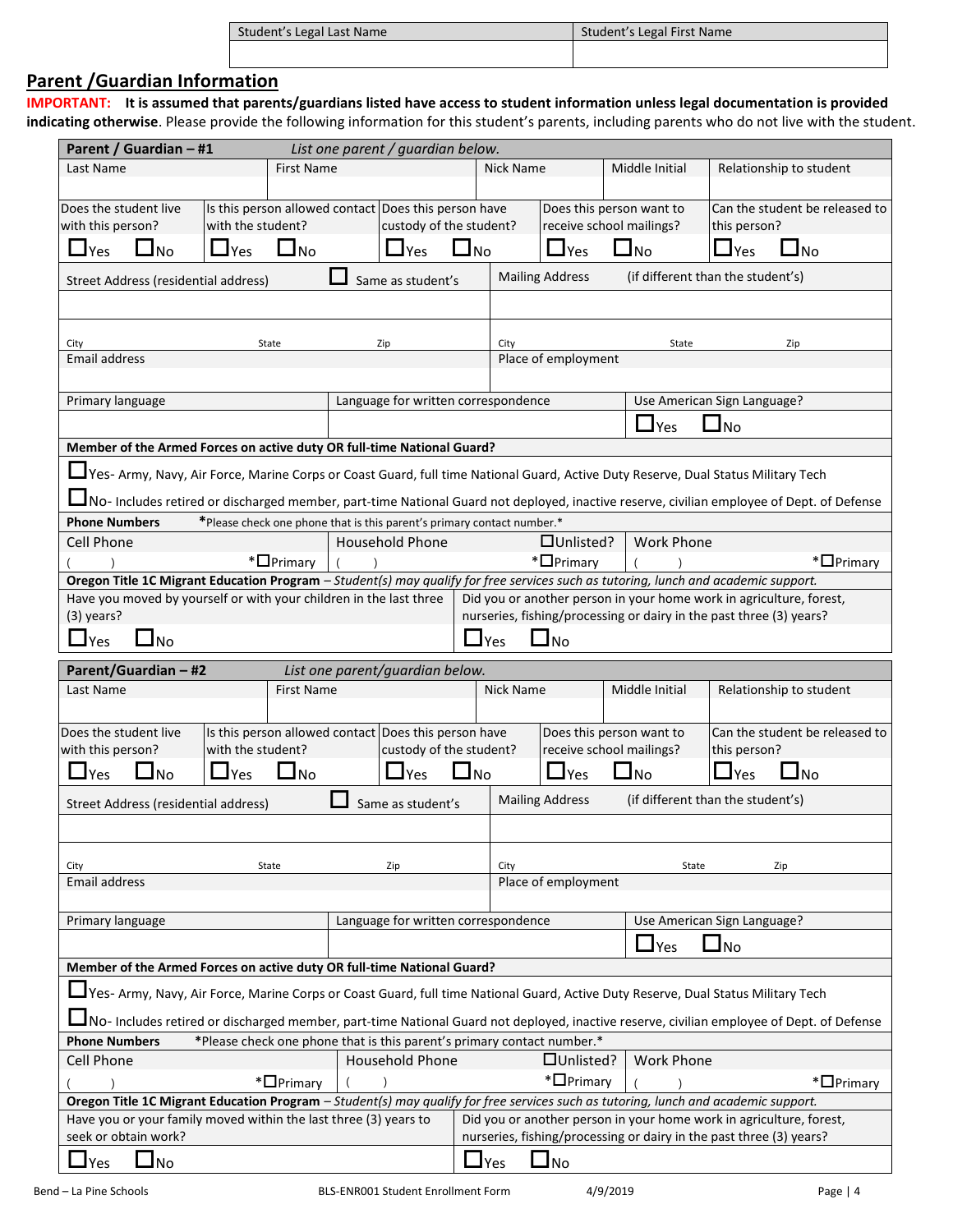| Student's Legal Last Name | Student's Legal First Name |
|---------------------------|----------------------------|
|                           |                            |

# **Parent /Guardian Information**

**IMPORTANT: It is assumed that parents/guardians listed have access to student information unless legal documentation is provided** 

**indicating otherwise**. Please provide the following information for this student's parents, including parents who do not live with the student.

| Parent / Guardian - #1                                                                                                                                                                                      |                                                                        |                         | List one parent / guardian below.   |                                       |                  |                          |                                                                     |                         |                |                                |
|-------------------------------------------------------------------------------------------------------------------------------------------------------------------------------------------------------------|------------------------------------------------------------------------|-------------------------|-------------------------------------|---------------------------------------|------------------|--------------------------|---------------------------------------------------------------------|-------------------------|----------------|--------------------------------|
| Last Name                                                                                                                                                                                                   |                                                                        | <b>First Name</b>       |                                     |                                       | Nick Name        |                          | Middle Initial                                                      | Relationship to student |                |                                |
|                                                                                                                                                                                                             |                                                                        |                         |                                     |                                       |                  |                          |                                                                     |                         |                |                                |
| Does the student live                                                                                                                                                                                       | Is this person allowed contact Does this person have                   |                         |                                     |                                       |                  | Does this person want to |                                                                     |                         |                | Can the student be released to |
| with this person?                                                                                                                                                                                           | with the student?                                                      |                         | custody of the student?             |                                       |                  | receive school mailings? |                                                                     | this person?            |                |                                |
| $\blacksquare$ No<br>$\sqcup$ Yes                                                                                                                                                                           | $\mathsf{\underline{J}}$ Yes                                           | $\bigsqcup$ No          | $\Box$ Yes                          | $\square$ No                          |                  | $\Box$ Yes               | _Ino                                                                | $\Box$ Yes              | ⅃⋈ჿ            |                                |
| Street Address (residential address)                                                                                                                                                                        |                                                                        |                         | Same as student's                   |                                       |                  | <b>Mailing Address</b>   | (if different than the student's)                                   |                         |                |                                |
|                                                                                                                                                                                                             |                                                                        |                         |                                     |                                       |                  |                          |                                                                     |                         |                |                                |
| City                                                                                                                                                                                                        | State                                                                  |                         | Zip                                 |                                       | City             |                          | State                                                               |                         | Zip            |                                |
| Email address                                                                                                                                                                                               |                                                                        |                         |                                     |                                       |                  | Place of employment      |                                                                     |                         |                |                                |
|                                                                                                                                                                                                             |                                                                        |                         |                                     |                                       |                  |                          |                                                                     |                         |                |                                |
| Primary language                                                                                                                                                                                            |                                                                        |                         | Language for written correspondence |                                       |                  |                          | Use American Sign Language?                                         |                         |                |                                |
|                                                                                                                                                                                                             |                                                                        |                         |                                     |                                       |                  |                          | $\mathsf{\underline{J}}$ Yes                                        | <b>No</b>               |                |                                |
|                                                                                                                                                                                                             |                                                                        |                         |                                     |                                       |                  |                          |                                                                     |                         |                |                                |
| Member of the Armed Forces on active duty OR full-time National Guard?                                                                                                                                      |                                                                        |                         |                                     |                                       |                  |                          |                                                                     |                         |                |                                |
| Yes- Army, Navy, Air Force, Marine Corps or Coast Guard, full time National Guard, Active Duty Reserve, Dual Status Military Tech                                                                           |                                                                        |                         |                                     |                                       |                  |                          |                                                                     |                         |                |                                |
| No-Includes retired or discharged member, part-time National Guard not deployed, inactive reserve, civilian employee of Dept. of Defense                                                                    |                                                                        |                         |                                     |                                       |                  |                          |                                                                     |                         |                |                                |
| <b>Phone Numbers</b>                                                                                                                                                                                        | *Please check one phone that is this parent's primary contact number.* |                         |                                     |                                       |                  |                          |                                                                     |                         |                |                                |
| <b>Cell Phone</b>                                                                                                                                                                                           |                                                                        |                         | Household Phone                     |                                       |                  | □Unlisted?               | <b>Work Phone</b>                                                   |                         |                |                                |
|                                                                                                                                                                                                             |                                                                        | $\ast$ <b>D</b> Primary |                                     |                                       |                  | * <sup>D</sup> Primary   |                                                                     |                         |                | $\ast$ $\Box$ Primary          |
| Oregon Title 1C Migrant Education Program - Student(s) may qualify for free services such as tutoring, lunch and academic support.                                                                          |                                                                        |                         |                                     |                                       |                  |                          |                                                                     |                         |                |                                |
| Have you moved by yourself or with your children in the last three                                                                                                                                          |                                                                        |                         |                                     |                                       |                  |                          | Did you or another person in your home work in agriculture, forest, |                         |                |                                |
| $(3)$ years?                                                                                                                                                                                                |                                                                        |                         |                                     |                                       |                  |                          | nurseries, fishing/processing or dairy in the past three (3) years? |                         |                |                                |
| $\mathbf{\mathsf{\Psi}}$ Yes<br>JNo                                                                                                                                                                         |                                                                        |                         |                                     | $\mathbf{\mathsf{\underline{J}}}$ Yes |                  | ⊿No                      |                                                                     |                         |                |                                |
|                                                                                                                                                                                                             |                                                                        |                         |                                     |                                       |                  |                          |                                                                     |                         |                |                                |
|                                                                                                                                                                                                             |                                                                        |                         |                                     |                                       |                  |                          |                                                                     |                         |                |                                |
| Parent/Guardian - #2                                                                                                                                                                                        |                                                                        |                         | List one parent/guardian below.     |                                       |                  |                          |                                                                     |                         |                |                                |
| Last Name                                                                                                                                                                                                   |                                                                        | First Name              |                                     |                                       | <b>Nick Name</b> |                          | Middle Initial                                                      | Relationship to student |                |                                |
| Does the student live                                                                                                                                                                                       | Is this person allowed contact Does this person have                   |                         |                                     |                                       |                  | Does this person want to |                                                                     |                         |                | Can the student be released to |
| with this person?                                                                                                                                                                                           | with the student?                                                      |                         | custody of the student?             |                                       |                  | receive school mailings? |                                                                     | this person?            |                |                                |
| $\mathbf 1$ Yes<br>No                                                                                                                                                                                       | <b>I</b> Yes                                                           | <b>J</b> No             | $\mathbf{\square}$ Yes              | <b>No</b>                             |                  | $\mathbf{\square}$ Yes   | l No                                                                | <b>Yes</b>              | N <sub>0</sub> |                                |
| Street Address (residential address)                                                                                                                                                                        |                                                                        |                         | Same as student's                   |                                       |                  | <b>Mailing Address</b>   | (if different than the student's)                                   |                         |                |                                |
|                                                                                                                                                                                                             |                                                                        |                         |                                     |                                       |                  |                          |                                                                     |                         |                |                                |
| City                                                                                                                                                                                                        | State                                                                  |                         | Zip                                 |                                       | City             |                          | State                                                               |                         | Zip            |                                |
| Email address                                                                                                                                                                                               |                                                                        |                         |                                     |                                       |                  | Place of employment      |                                                                     |                         |                |                                |
| Primary language                                                                                                                                                                                            |                                                                        |                         | Language for written correspondence |                                       |                  |                          | Use American Sign Language?                                         |                         |                |                                |
|                                                                                                                                                                                                             |                                                                        |                         |                                     |                                       |                  |                          |                                                                     | JNo                     |                |                                |
|                                                                                                                                                                                                             |                                                                        |                         |                                     |                                       |                  |                          | $\Box$ Yes                                                          |                         |                |                                |
| Member of the Armed Forces on active duty OR full-time National Guard?<br>Yes- Army, Navy, Air Force, Marine Corps or Coast Guard, full time National Guard, Active Duty Reserve, Dual Status Military Tech |                                                                        |                         |                                     |                                       |                  |                          |                                                                     |                         |                |                                |
| No-Includes retired or discharged member, part-time National Guard not deployed, inactive reserve, civilian employee of Dept. of Defense                                                                    |                                                                        |                         |                                     |                                       |                  |                          |                                                                     |                         |                |                                |
| <b>Phone Numbers</b>                                                                                                                                                                                        | *Please check one phone that is this parent's primary contact number.* |                         |                                     |                                       |                  |                          |                                                                     |                         |                |                                |
| <b>Cell Phone</b>                                                                                                                                                                                           |                                                                        |                         | <b>Household Phone</b>              |                                       |                  | $\Box$ Unlisted?         | <b>Work Phone</b>                                                   |                         |                |                                |
|                                                                                                                                                                                                             |                                                                        |                         |                                     |                                       |                  |                          |                                                                     |                         |                |                                |
|                                                                                                                                                                                                             |                                                                        | $*$ <b>D</b> Primary    |                                     |                                       |                  | $*$ <b>D</b> Primary     |                                                                     |                         |                | $*$ <b>D</b> Primary           |
| Oregon Title 1C Migrant Education Program - Student(s) may qualify for free services such as tutoring, lunch and academic support.<br>Have you or your family moved within the last three (3) years to      |                                                                        |                         |                                     |                                       |                  |                          | Did you or another person in your home work in agriculture, forest, |                         |                |                                |
| seek or obtain work?                                                                                                                                                                                        |                                                                        |                         |                                     | $\mathbf{I}$ Yes                      |                  |                          | nurseries, fishing/processing or dairy in the past three (3) years? |                         |                |                                |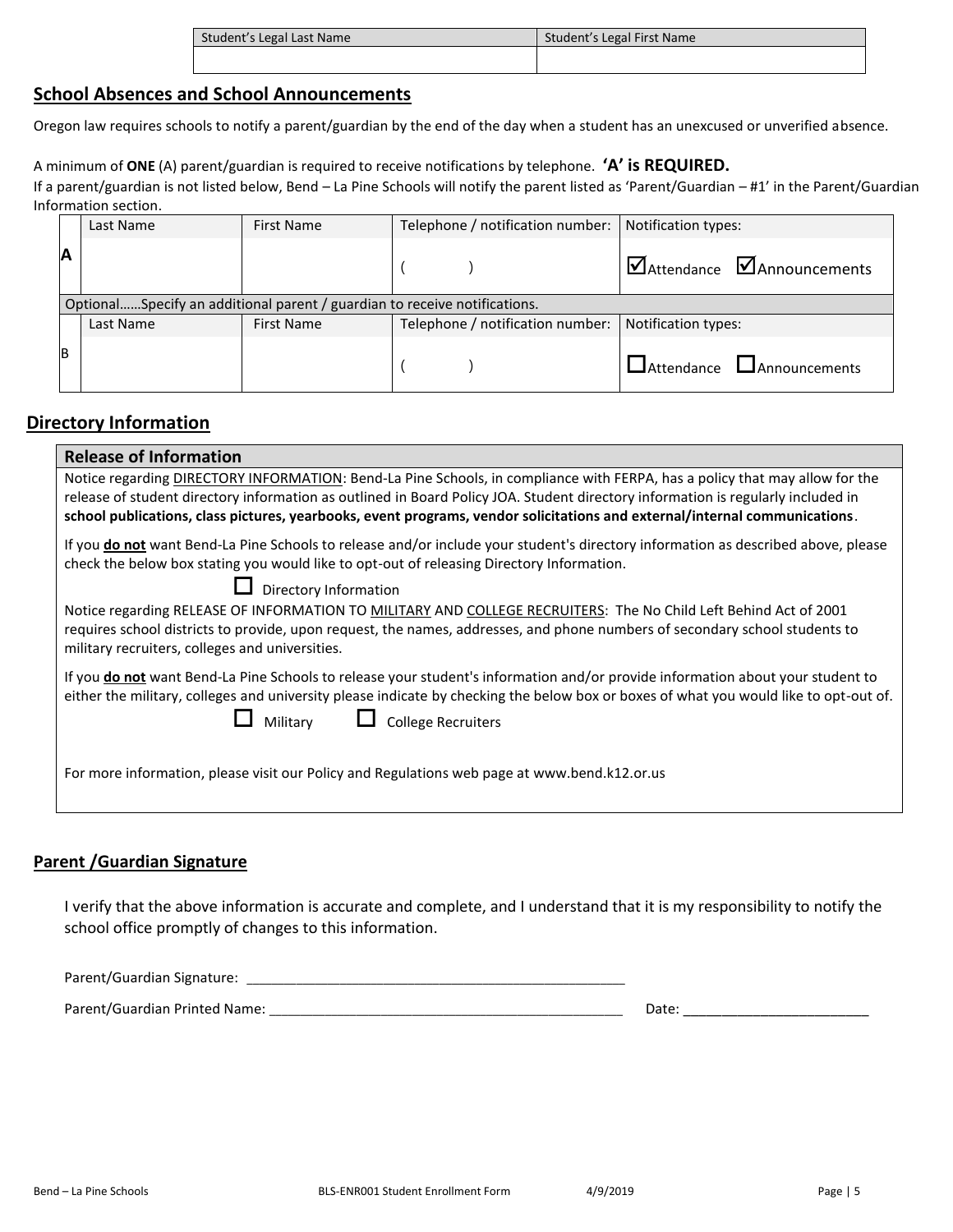| Student's Legal Last Name | Student's Legal First Name |
|---------------------------|----------------------------|
|                           |                            |

#### **School Absences and School Announcements**

Oregon law requires schools to notify a parent/guardian by the end of the day when a student has an unexcused or unverified absence.

A minimum of **ONE** (A) parent/guardian is required to receive notifications by telephone. **'A' is REQUIRED.** If a parent/guardian is not listed below, Bend – La Pine Schools will notify the parent listed as 'Parent/Guardian – #1' in the Parent/Guardian Information section.

|                                                                           | Last Name | First Name | Telephone / notification number: | Notification types:                                    |  |  |
|---------------------------------------------------------------------------|-----------|------------|----------------------------------|--------------------------------------------------------|--|--|
|                                                                           |           |            |                                  | $\blacksquare$ Attendance $\blacksquare$ Announcements |  |  |
| OptionalSpecify an additional parent / guardian to receive notifications. |           |            |                                  |                                                        |  |  |
|                                                                           | Last Name | First Name | Telephone / notification number: | Notification types:                                    |  |  |
|                                                                           |           |            |                                  | □ Attendance □ Announcements                           |  |  |

#### **Directory Information**

| <b>Release of Information</b>                                                                                                                                                                                                                                                  |
|--------------------------------------------------------------------------------------------------------------------------------------------------------------------------------------------------------------------------------------------------------------------------------|
| Notice regarding <b>DIRECTORY INFORMATION</b> : Bend-La Pine Schools, in compliance with FERPA, has a policy that may allow for the                                                                                                                                            |
| release of student directory information as outlined in Board Policy JOA. Student directory information is regularly included in<br>school publications, class pictures, yearbooks, event programs, vendor solicitations and external/internal communications.                 |
|                                                                                                                                                                                                                                                                                |
| If you <b>do not</b> want Bend-La Pine Schools to release and/or include your student's directory information as described above, please<br>check the below box stating you would like to opt-out of releasing Directory Information.                                          |
|                                                                                                                                                                                                                                                                                |
| $\Box$ Directory Information                                                                                                                                                                                                                                                   |
| Notice regarding RELEASE OF INFORMATION TO MILITARY AND COLLEGE RECRUITERS: The No Child Left Behind Act of 2001                                                                                                                                                               |
| requires school districts to provide, upon request, the names, addresses, and phone numbers of secondary school students to                                                                                                                                                    |
| military recruiters, colleges and universities.                                                                                                                                                                                                                                |
| If you <b>do not</b> want Bend-La Pine Schools to release your student's information and/or provide information about your student to<br>either the military, colleges and university please indicate by checking the below box or boxes of what you would like to opt-out of. |
| $\Box$ College Recruiters<br>Military                                                                                                                                                                                                                                          |
|                                                                                                                                                                                                                                                                                |
|                                                                                                                                                                                                                                                                                |
| For more information, please visit our Policy and Regulations web page at www.bend.k12.or.us                                                                                                                                                                                   |
|                                                                                                                                                                                                                                                                                |
|                                                                                                                                                                                                                                                                                |

#### **Parent /Guardian Signature**

I verify that the above information is accurate and complete, and I understand that it is my responsibility to notify the school office promptly of changes to this information.

| Parent/Guardian Signature:    |       |
|-------------------------------|-------|
| Parent/Guardian Printed Name: | Date: |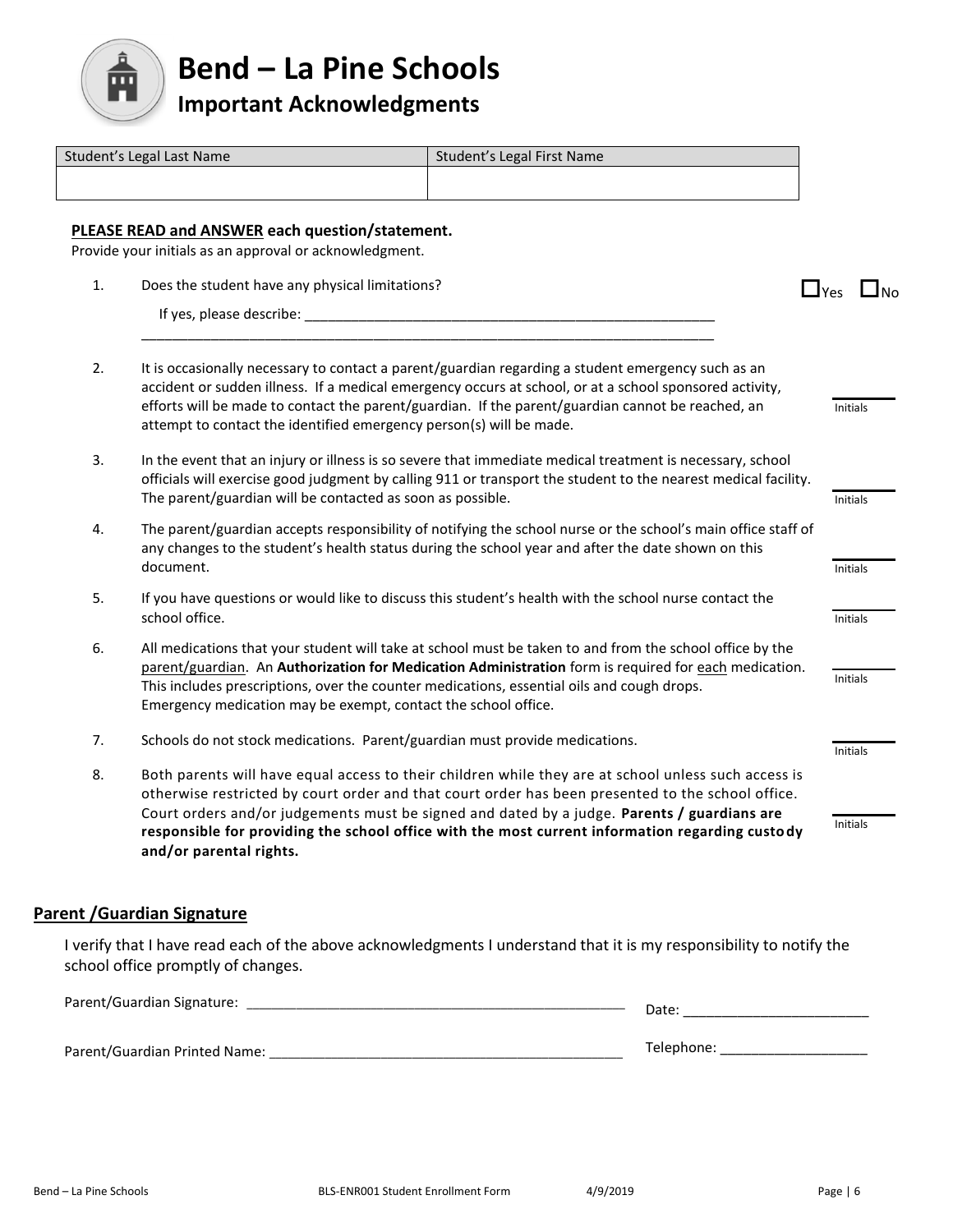

# **Bend – La Pine Schools**

# **Important Acknowledgments**

|    | Student's Legal Last Name                                                                                                                                    | Student's Legal First Name                                                                                                                                                                                                                                                                                                                                                                                  |                      |
|----|--------------------------------------------------------------------------------------------------------------------------------------------------------------|-------------------------------------------------------------------------------------------------------------------------------------------------------------------------------------------------------------------------------------------------------------------------------------------------------------------------------------------------------------------------------------------------------------|----------------------|
|    |                                                                                                                                                              |                                                                                                                                                                                                                                                                                                                                                                                                             |                      |
|    | PLEASE READ and ANSWER each question/statement.<br>Provide your initials as an approval or acknowledgment.                                                   |                                                                                                                                                                                                                                                                                                                                                                                                             |                      |
| 1. | Does the student have any physical limitations?<br>If yes, please describe:                                                                                  |                                                                                                                                                                                                                                                                                                                                                                                                             | $\Box$ Yes $\Box$ No |
| 2. | attempt to contact the identified emergency person(s) will be made.                                                                                          | It is occasionally necessary to contact a parent/guardian regarding a student emergency such as an<br>accident or sudden illness. If a medical emergency occurs at school, or at a school sponsored activity,<br>efforts will be made to contact the parent/guardian. If the parent/guardian cannot be reached, an                                                                                          | Initials             |
| 3. | The parent/guardian will be contacted as soon as possible.                                                                                                   | In the event that an injury or illness is so severe that immediate medical treatment is necessary, school<br>officials will exercise good judgment by calling 911 or transport the student to the nearest medical facility.                                                                                                                                                                                 | Initials             |
| 4. | document.                                                                                                                                                    | The parent/guardian accepts responsibility of notifying the school nurse or the school's main office staff of<br>any changes to the student's health status during the school year and after the date shown on this                                                                                                                                                                                         | <b>Initials</b>      |
| 5. | school office.                                                                                                                                               | If you have questions or would like to discuss this student's health with the school nurse contact the                                                                                                                                                                                                                                                                                                      | Initials             |
| 6. | This includes prescriptions, over the counter medications, essential oils and cough drops.<br>Emergency medication may be exempt, contact the school office. | All medications that your student will take at school must be taken to and from the school office by the<br>parent/guardian. An Authorization for Medication Administration form is required for each medication.                                                                                                                                                                                           | Initials             |
| 7. | Schools do not stock medications. Parent/guardian must provide medications.                                                                                  |                                                                                                                                                                                                                                                                                                                                                                                                             | <b>Initials</b>      |
| 8. | and/or parental rights.                                                                                                                                      | Both parents will have equal access to their children while they are at school unless such access is<br>otherwise restricted by court order and that court order has been presented to the school office.<br>Court orders and/or judgements must be signed and dated by a judge. Parents / guardians are<br>responsible for providing the school office with the most current information regarding custody | Initials             |

#### **Parent /Guardian Signature**

I verify that I have read each of the above acknowledgments I understand that it is my responsibility to notify the school office promptly of changes.

| Parent/Guardian Signature:    | Date:      |
|-------------------------------|------------|
| Parent/Guardian Printed Name: | Telephone: |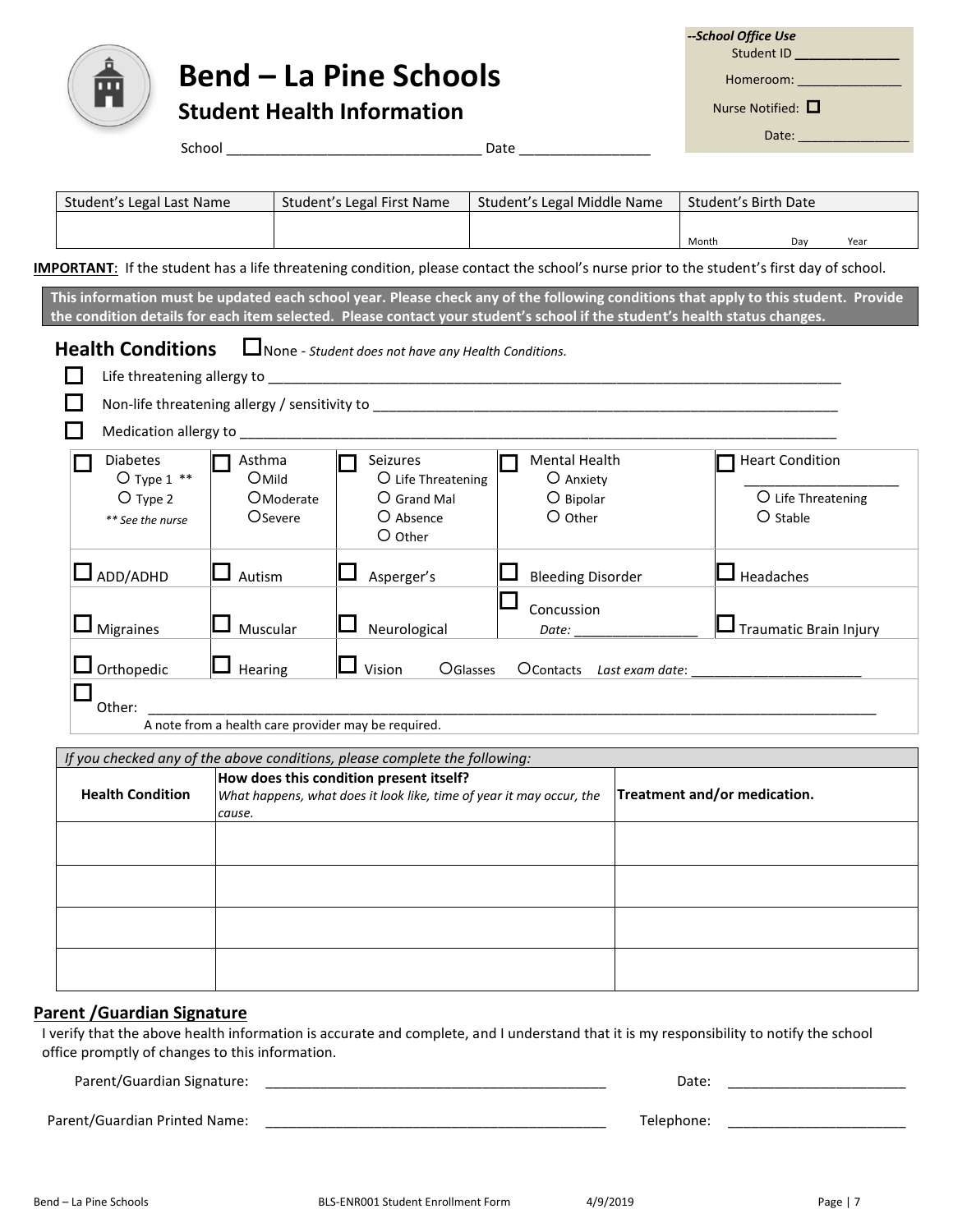

# **Bend – La Pine Schools**

**Student Health Information**

*--School Office Use* Student ID \_\_\_\_\_\_ Homeroom: Nurse Notified: Date: \_\_\_\_\_\_\_\_\_\_\_\_\_\_\_\_

| ю<br>т<br>۱r |  |
|--------------|--|
|              |  |

School \_\_\_\_\_\_\_\_\_\_\_\_\_\_\_\_\_\_\_\_\_\_\_\_\_\_\_\_\_\_\_\_\_ Date \_\_\_\_\_\_\_\_\_\_\_\_\_\_\_\_\_

| Student's Legal Last Name | Student's Legal First Name | Student's Legal Middle Name | Student's Birth Date |     |      |
|---------------------------|----------------------------|-----------------------------|----------------------|-----|------|
|                           |                            |                             |                      |     |      |
|                           |                            |                             | Month                | Dav | Year |

**IMPORTANT:** If the student has a life threatening condition, please contact the school's nurse prior to the student's first day of school.

**This information must be updated each school year. Please check any of the following conditions that apply to this student. Provide the condition details for each item selected. Please contact your student's school if the student's health status changes.**

#### **Health Conditions** □ None - *Student does not have any Health Conditions.*

| Life threatening allergy to |  |
|-----------------------------|--|
|                             |  |

| Non-life threatening allergy / sensitivity to |  |
|-----------------------------------------------|--|
|                                               |  |

| . .<br>Medication allergy<br>v LO<br>,,, ancipi |  |  |  |
|-------------------------------------------------|--|--|--|
|                                                 |  |  |  |

|        | O Absence                     | $\bigcirc$ Other                      | $\bigcirc$ Stable                                                                                                           |
|--------|-------------------------------|---------------------------------------|-----------------------------------------------------------------------------------------------------------------------------|
|        |                               |                                       | Headaches                                                                                                                   |
|        |                               |                                       | <b>Traumatic Brain Injury</b>                                                                                               |
| Vision | <b>OGlasses</b>               | Last exam date:                       |                                                                                                                             |
|        |                               |                                       |                                                                                                                             |
|        | Autism<br>Muscular<br>Hearing | O Other<br>Asperger's<br>Neurological | <b>Bleeding Disorder</b><br>Concussion<br>Date:<br><b>O</b> Contacts<br>A note from a health care provider may be required. |

A note from a health care provider may be required.

| If you checked any of the above conditions, please complete the following: |                                                                                                                           |                              |  |  |
|----------------------------------------------------------------------------|---------------------------------------------------------------------------------------------------------------------------|------------------------------|--|--|
| <b>Health Condition</b>                                                    | How does this condition present itself?<br>What happens, what does it look like, time of year it may occur, the<br>cause. | Treatment and/or medication. |  |  |
|                                                                            |                                                                                                                           |                              |  |  |
|                                                                            |                                                                                                                           |                              |  |  |
|                                                                            |                                                                                                                           |                              |  |  |
|                                                                            |                                                                                                                           |                              |  |  |

#### **Parent /Guardian Signature**

I verify that the above health information is accurate and complete, and I understand that it is my responsibility to notify the school office promptly of changes to this information.

Parent/Guardian Signature: \_\_\_\_\_\_\_\_\_\_\_\_\_\_\_\_\_\_\_\_\_\_\_\_\_\_\_\_\_\_\_\_\_\_\_\_\_\_\_\_\_\_\_\_ Date: \_\_\_\_\_\_\_\_\_\_\_\_\_\_\_\_\_\_\_\_\_\_\_

Parent/Guardian Printed Name: \_\_\_\_\_\_\_\_\_\_\_\_\_\_\_\_\_\_\_\_\_\_\_\_\_\_\_\_\_\_\_\_\_\_\_\_\_\_\_\_\_\_\_\_ Telephone: \_\_\_\_\_\_\_\_\_\_\_\_\_\_\_\_\_\_\_\_\_\_\_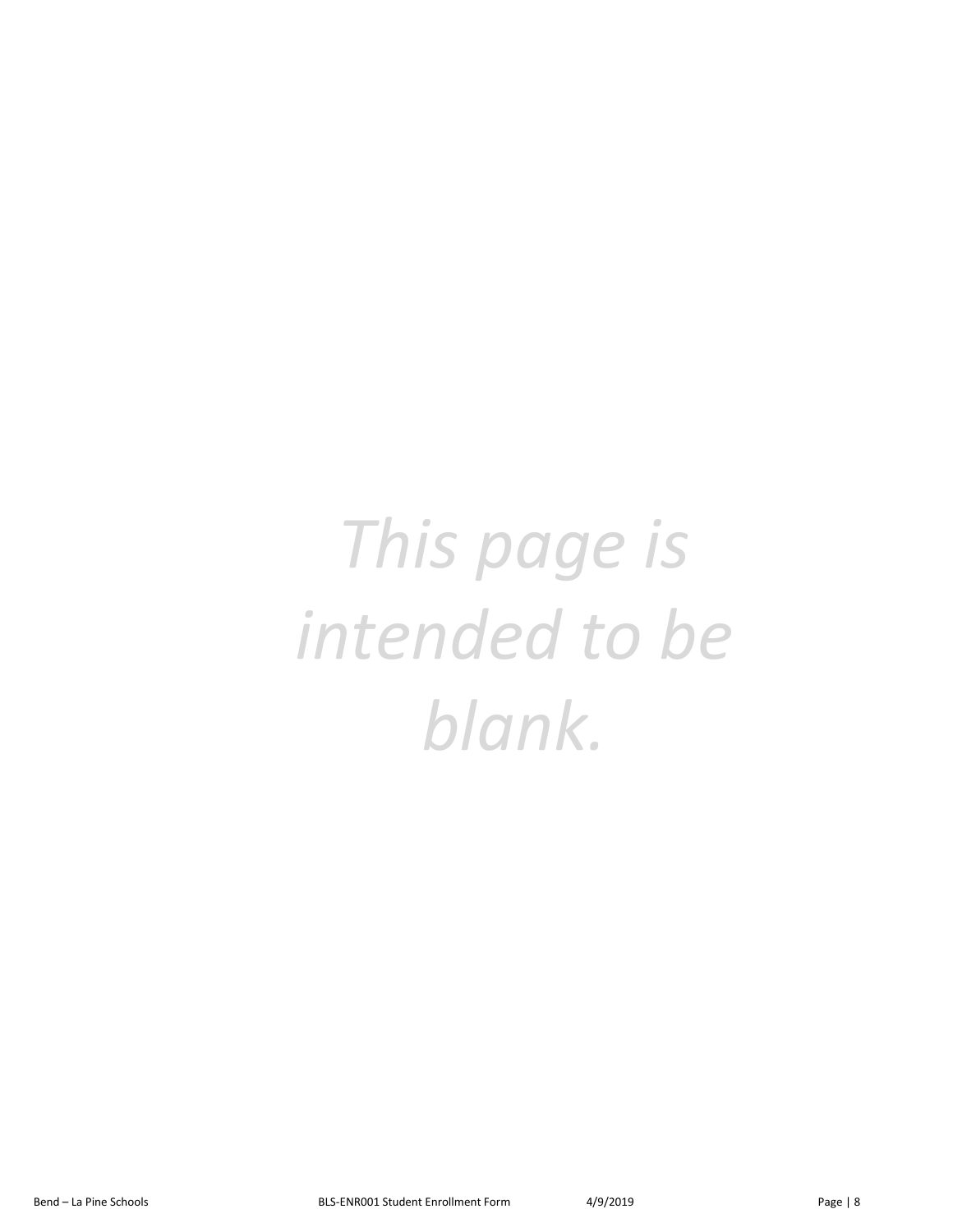# *This page is intended to be blank.*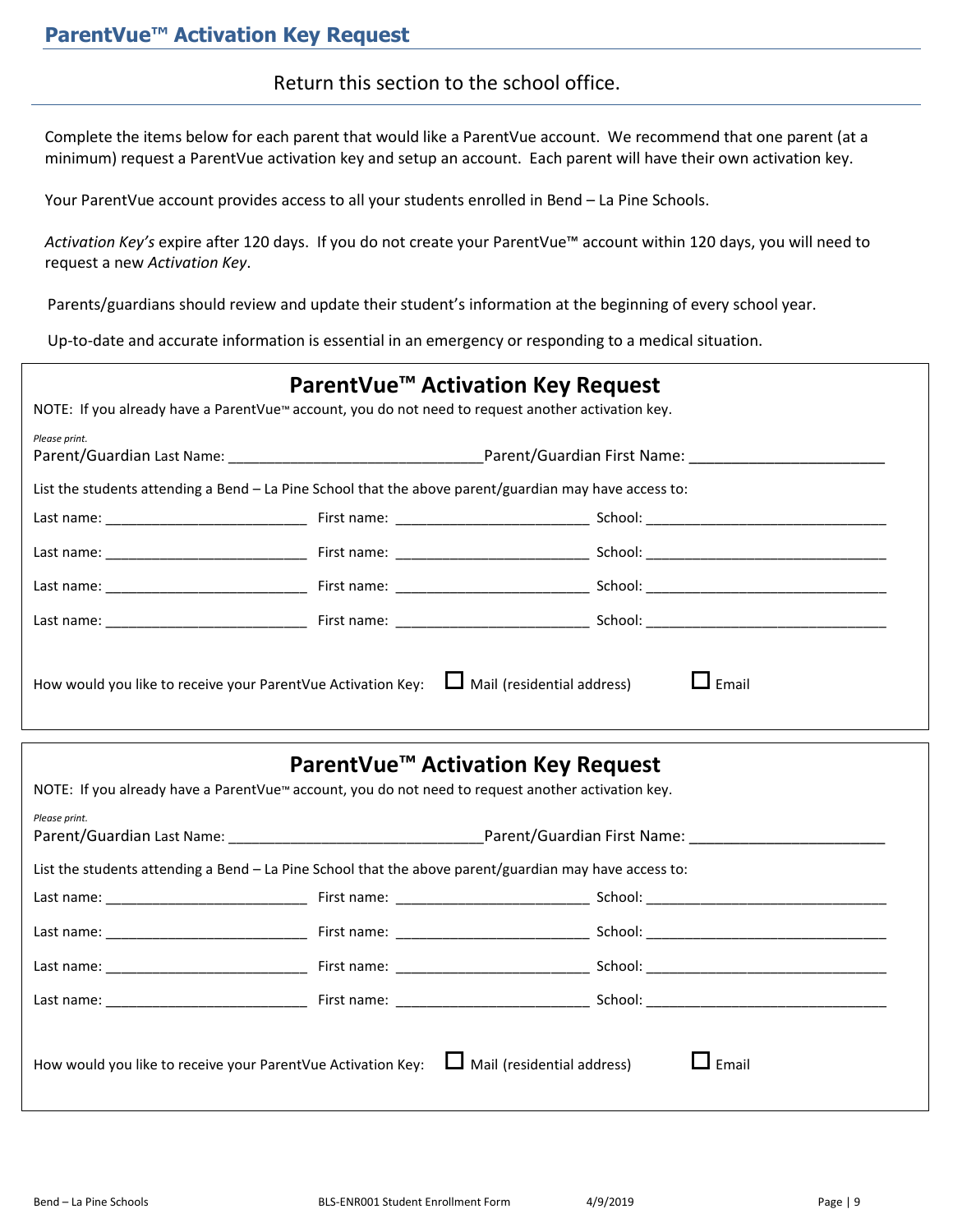#### Return this section to the school office.

Complete the items below for each parent that would like a ParentVue account. We recommend that one parent (at a minimum) request a ParentVue activation key and setup an account. Each parent will have their own activation key.

Your ParentVue account provides access to all your students enrolled in Bend – La Pine Schools.

*Activation Key's* expire after 120 days. If you do not create your ParentVue™ account within 120 days, you will need to request a new *Activation Key*.

Parents/guardians should review and update their student's information at the beginning of every school year.

Up-to-date and accurate information is essential in an emergency or responding to a medical situation.

| ParentVue™ Activation Key Request<br>NOTE: If you already have a ParentVue <sup>™</sup> account, you do not need to request another activation key. |  |  |  |  |
|-----------------------------------------------------------------------------------------------------------------------------------------------------|--|--|--|--|
| Please print.                                                                                                                                       |  |  |  |  |
| List the students attending a Bend - La Pine School that the above parent/guardian may have access to:                                              |  |  |  |  |
|                                                                                                                                                     |  |  |  |  |
|                                                                                                                                                     |  |  |  |  |
|                                                                                                                                                     |  |  |  |  |
|                                                                                                                                                     |  |  |  |  |
| Email<br>How would you like to receive your ParentVue Activation Key: [Mail (residential address)                                                   |  |  |  |  |

| ParentVue™ Activation Key Request<br>NOTE: If you already have a ParentVue <sup>™</sup> account, you do not need to request another activation key. |  |  |  |  |
|-----------------------------------------------------------------------------------------------------------------------------------------------------|--|--|--|--|
| Please print.                                                                                                                                       |  |  |  |  |
| List the students attending a Bend – La Pine School that the above parent/guardian may have access to:                                              |  |  |  |  |
|                                                                                                                                                     |  |  |  |  |
|                                                                                                                                                     |  |  |  |  |
|                                                                                                                                                     |  |  |  |  |
|                                                                                                                                                     |  |  |  |  |
| $\Box$ Email<br>How would you like to receive your ParentVue Activation Key: $\Box$ Mail (residential address)                                      |  |  |  |  |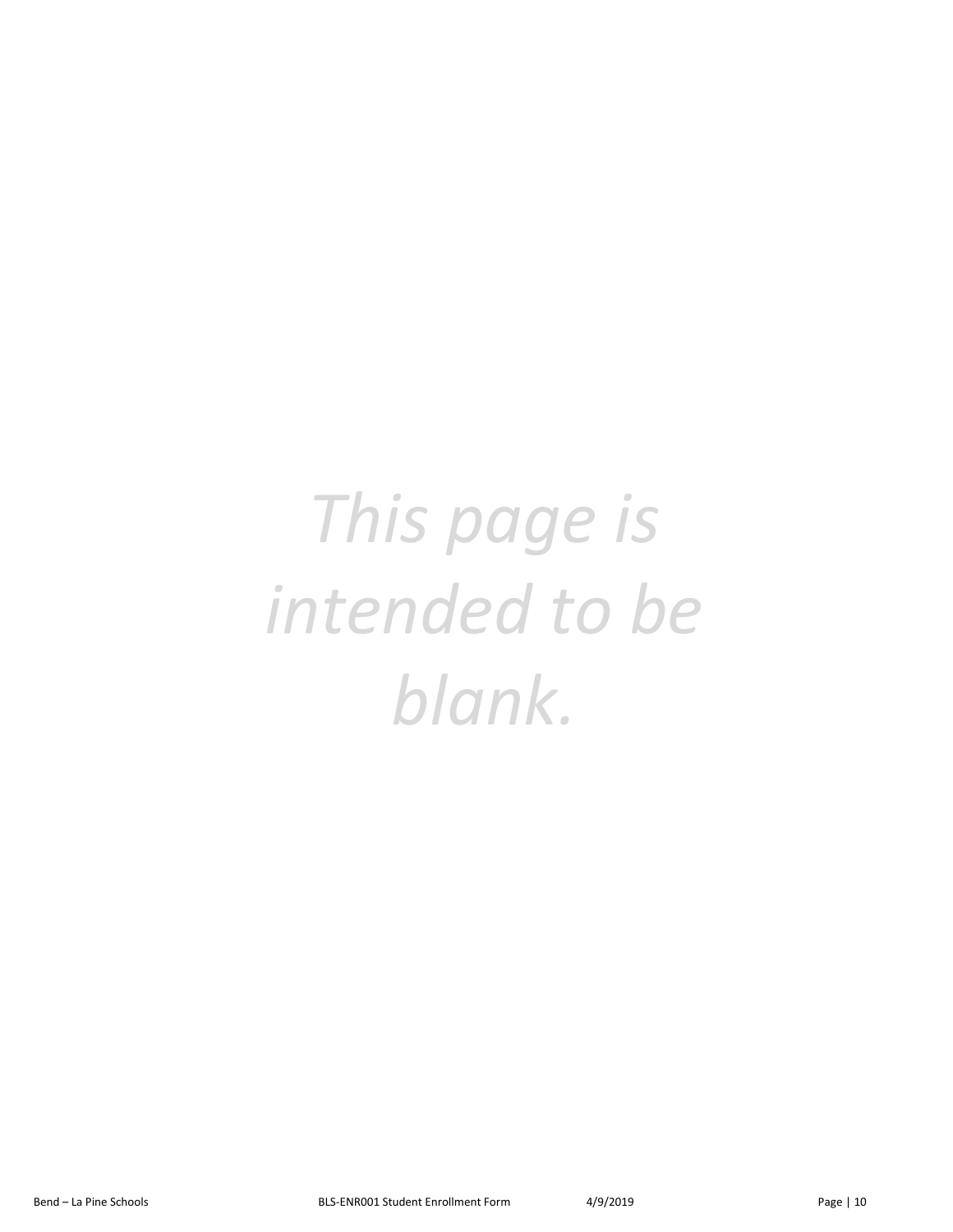# *This page is intended to be blank.*